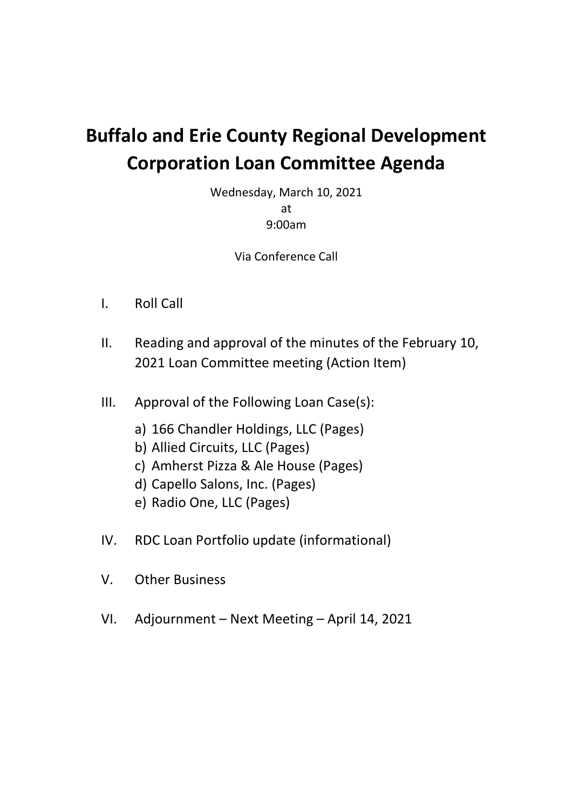# **Buffalo and Erie County Regional Development Corporation Loan Committee Agenda**

Wednesday, March 10, 2021 at 9:00am

Via Conference Call

- I. Roll Call
- II. Reading and approval of the minutes of the February 10, 2021 Loan Committee meeting (Action Item)
- III. Approval of the Following Loan Case(s):
	- a) 166 Chandler Holdings, LLC (Pages)
	- b) Allied Circuits, LLC (Pages)
	- c) Amherst Pizza & Ale House (Pages)
	- d) Capello Salons, Inc. (Pages)
	- e) Radio One, LLC (Pages)
- IV. RDC Loan Portfolio update (informational)
- V. Other Business
- VI. Adjournment Next Meeting April 14, 2021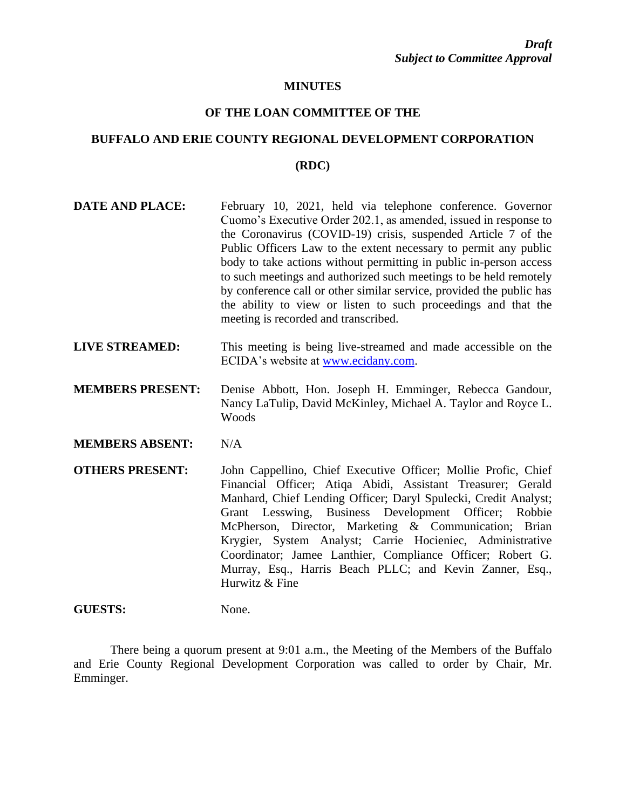#### **MINUTES**

#### **OF THE LOAN COMMITTEE OF THE**

## **BUFFALO AND ERIE COUNTY REGIONAL DEVELOPMENT CORPORATION (RDC)**

- **DATE AND PLACE:** February 10, 2021, held via telephone conference. Governor Cuomo's Executive Order 202.1, as amended, issued in response to the Coronavirus (COVID-19) crisis, suspended Article 7 of the Public Officers Law to the extent necessary to permit any public body to take actions without permitting in public in-person access to such meetings and authorized such meetings to be held remotely by conference call or other similar service, provided the public has the ability to view or listen to such proceedings and that the meeting is recorded and transcribed.
- **LIVE STREAMED:** This meeting is being live-streamed and made accessible on the ECIDA's website at [www.ecidany.com.](http://www.ecidany.com/)
- **MEMBERS PRESENT:** Denise Abbott, Hon. Joseph H. Emminger, Rebecca Gandour, Nancy LaTulip, David McKinley, Michael A. Taylor and Royce L. Woods
- **MEMBERS ABSENT:** N/A
- **OTHERS PRESENT:** John Cappellino, Chief Executive Officer; Mollie Profic, Chief Financial Officer; Atiqa Abidi, Assistant Treasurer; Gerald Manhard, Chief Lending Officer; Daryl Spulecki, Credit Analyst; Grant Lesswing, Business Development Officer; Robbie McPherson, Director, Marketing & Communication; Brian Krygier, System Analyst; Carrie Hocieniec, Administrative Coordinator; Jamee Lanthier, Compliance Officer; Robert G. Murray, Esq., Harris Beach PLLC; and Kevin Zanner, Esq., Hurwitz & Fine

#### GUESTS: None.

There being a quorum present at 9:01 a.m., the Meeting of the Members of the Buffalo and Erie County Regional Development Corporation was called to order by Chair, Mr. Emminger.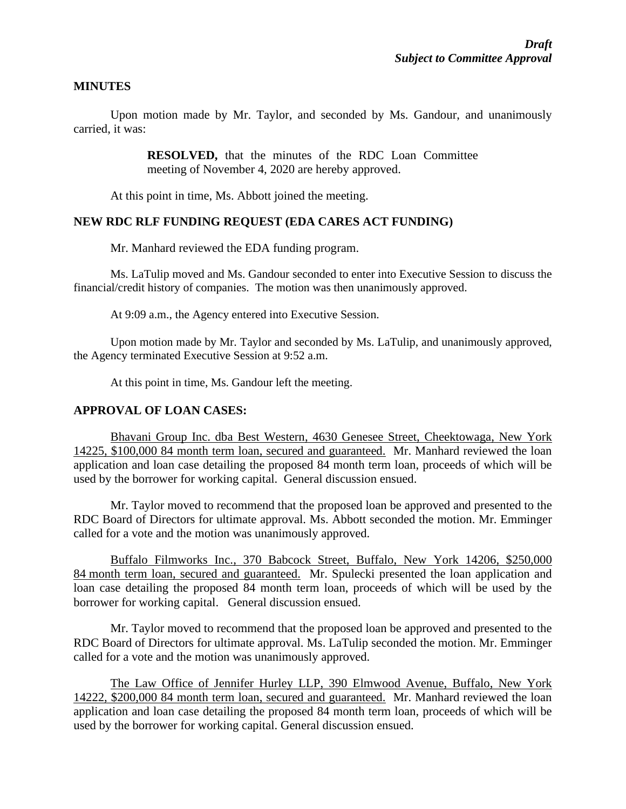#### **MINUTES**

Upon motion made by Mr. Taylor, and seconded by Ms. Gandour, and unanimously carried, it was:

> **RESOLVED,** that the minutes of the RDC Loan Committee meeting of November 4, 2020 are hereby approved.

At this point in time, Ms. Abbott joined the meeting.

#### **NEW RDC RLF FUNDING REQUEST (EDA CARES ACT FUNDING)**

Mr. Manhard reviewed the EDA funding program.

Ms. LaTulip moved and Ms. Gandour seconded to enter into Executive Session to discuss the financial/credit history of companies. The motion was then unanimously approved.

At 9:09 a.m., the Agency entered into Executive Session.

Upon motion made by Mr. Taylor and seconded by Ms. LaTulip, and unanimously approved, the Agency terminated Executive Session at 9:52 a.m.

At this point in time, Ms. Gandour left the meeting.

#### **APPROVAL OF LOAN CASES:**

Bhavani Group Inc. dba Best Western, 4630 Genesee Street, Cheektowaga, New York 14225, \$100,000 84 month term loan, secured and guaranteed. Mr. Manhard reviewed the loan application and loan case detailing the proposed 84 month term loan, proceeds of which will be used by the borrower for working capital. General discussion ensued.

Mr. Taylor moved to recommend that the proposed loan be approved and presented to the RDC Board of Directors for ultimate approval. Ms. Abbott seconded the motion. Mr. Emminger called for a vote and the motion was unanimously approved.

Buffalo Filmworks Inc., 370 Babcock Street, Buffalo, New York 14206, \$250,000 84 month term loan, secured and guaranteed. Mr. Spulecki presented the loan application and loan case detailing the proposed 84 month term loan, proceeds of which will be used by the borrower for working capital. General discussion ensued.

Mr. Taylor moved to recommend that the proposed loan be approved and presented to the RDC Board of Directors for ultimate approval. Ms. LaTulip seconded the motion. Mr. Emminger called for a vote and the motion was unanimously approved.

The Law Office of Jennifer Hurley LLP, 390 Elmwood Avenue, Buffalo, New York 14222, \$200,000 84 month term loan, secured and guaranteed. Mr. Manhard reviewed the loan application and loan case detailing the proposed 84 month term loan, proceeds of which will be used by the borrower for working capital. General discussion ensued.